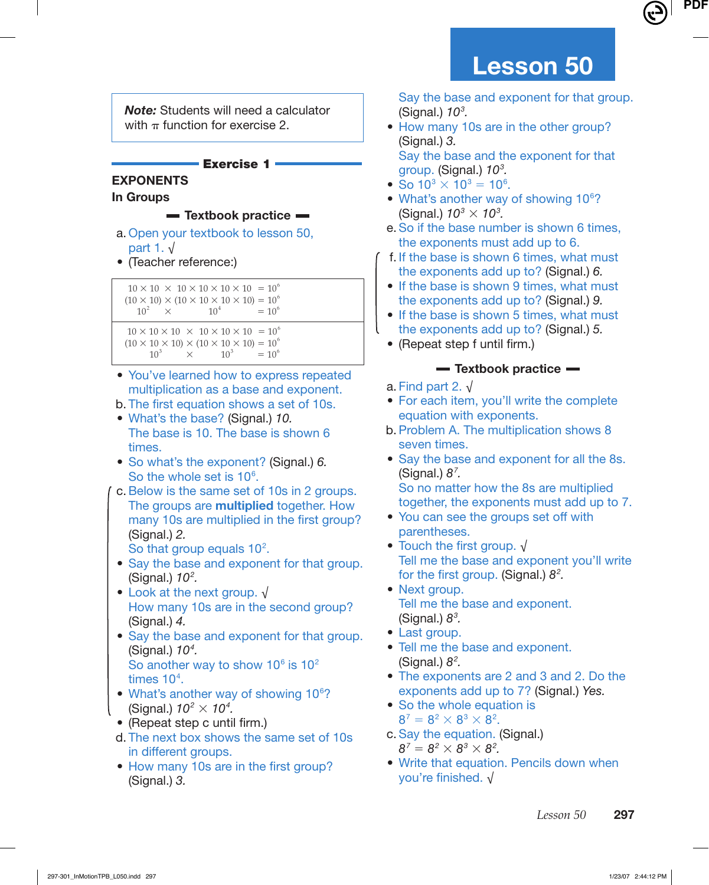*Note:* Students will need a calculator with  $\pi$  function for exercise 2.

# **Exercise 1**

#### **EXPONENTS In Groups**

- **Textbook practice**
- a. Open your textbook to lesson 50, part 1. √
- (Teacher reference:)

 $10 \times 10 \times 10 \times 10 \times 10 \times 10 = 10^6$  $(10 \times 10) \times (10 \times 10 \times 10 \times 10) = 10^{6}$ <br> $10^{2} \times 10^{4} = 10^{6}$  $10^2 \times$ 

 $10 \times 10 \times 10 \times 10 \times 10 \times 10 = 10^6$  $(10 \times 10 \times 10) \times (10 \times 10 \times 10) = 10^{6}$ <br> $10^{3} \times 10^{3} = 10^{6}$  $10^3 \times 10^3 = 10^6$ 

- You've learned how to express repeated multiplication as a base and exponent.
- b. The first equation shows a set of 10s. • What's the base? (Signal.) 10.
- The base is 10. The base is shown 6 times.
- So what's the exponent? (Signal.) 6. So the whole set is  $10<sup>6</sup>$ .
- c. Below is the same set of 10s in 2 groups. The groups are **multiplied** together. How many 10s are multiplied in the first group? (Signal.) 2. So that group equals  $10<sup>2</sup>$ .
- Say the base and exponent for that group. (Signal.)  $10<sup>2</sup>$ .
- Look at the next group. √ How many 10s are in the second group? (Signal.) 4.
- Say the base and exponent for that group. (Signal.)  $10<sup>4</sup>$ . So another way to show  $10^6$  is  $10^2$ times 10<sup>4</sup>.
- What's another way of showing 10<sup>6</sup>? (Signal.)  $10^2 \times 10^4$ .
- $\bullet$  (Repeat step c until firm.)
- d. The next box shows the same set of 10s in different groups.
- How many 10s are in the first group? (Signal.) 3.

 Say the base and exponent for that group. (Signal.)  $10<sup>3</sup>$ .

 • How many 10s are in the other group? (Signal.) 3. Say the base and the exponent for that

group. (Signal.) 10<sup>3</sup>.

- So  $10^3 \times 10^3 = 10^6$ .
- What's another way of showing  $10<sup>6</sup>$ ? (Signal.)  $10^3 \times 10^3$ .
- e. So if the base number is shown 6 times, the exponents must add up to 6.
- f. If the base is shown 6 times, what must the exponents add up to? (Signal.) 6.
- If the base is shown 9 times, what must the exponents add up to? (Signal.) 9.
- If the base is shown 5 times, what must the exponents add up to? (Signal.) 5.
- $\bullet$  (Repeat step f until firm.)

# **Textbook practice**

- a. Find part 2.  $\sqrt{ }$
- For each item, you'll write the complete equation with exponents.
- b. Problem A. The multiplication shows 8 seven times.
- Say the base and exponent for all the 8s. (Signal.)  $8^7$ .
	- So no matter how the 8s are multiplied together, the exponents must add up to 7.
- You can see the groups set off with parentheses.
- Touch the first group.  $\sqrt{}$  Tell me the base and exponent you'll write for the first group. (Signal.)  $8^2$ .
- Next group. Tell me the base and exponent. (Signal.)  $8<sup>3</sup>$ .
- Last group.
- Tell me the base and exponent. (Signal.)  $8^2$ .
- The exponents are 2 and 3 and 2. Do the exponents add up to 7? (Signal.) Yes.
- So the whole equation is  $8^7 = 8^2 \times 8^3 \times 8^2$ .
- c. Say the equation. (Signal.)  $8^7 = 8^2 \times 8^3 \times 8^2$ .
- Write that equation. Pencils down when you're finished.  $\sqrt{ }$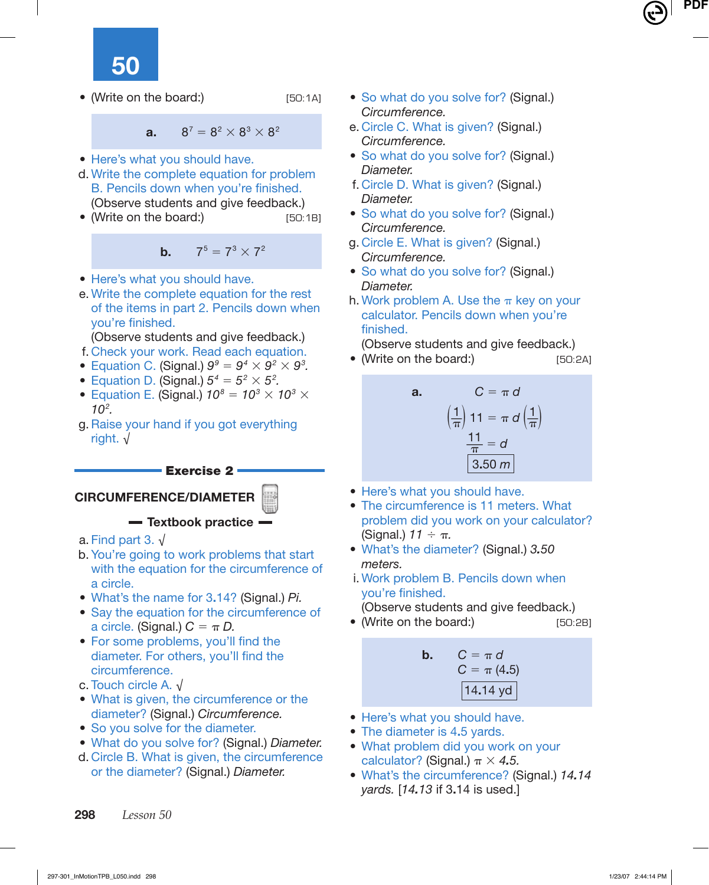**50**

• (Write on the board:) [50:1A]

**a.**  $8^7 = 8^2 \times 8^3 \times 8^2$ 

- Here's what you should have.
- d. Write the complete equation for problem B. Pencils down when you're finished. (Observe students and give feedback.)
- (Write on the board:) [50:1B]

**b.**  $7^5 = 7^3 \times 7^2$ 

- Here's what you should have.
- e. Write the complete equation for the rest of the items in part 2. Pencils down when vou're finished.
- (Observe students and give feedback.)
- f. Check your work. Read each equation.
- Equation C. (Signal.)  $9^9 = 9^4 \times 9^2 \times 9^3$ .
- Equation D. (Signal.)  $5^4 = 5^2 \times 5^2$ .
- Equation E. (Signal.)  $10^8 = 10^3 \times 10^3 \times$  $10^2$ .
- g. Raise your hand if you got everything right. √

#### **Exercise 2**

# **CIRCUMFERENCE/DIAMETER**

**Textbook practice**

- a. Find part 3.  $\sqrt{ }$
- b. You're going to work problems that start with the equation for the circumference of a circle.
- What's the name for 3**.**14? (Signal.) Pi.
- Say the equation for the circumference of a circle. (Signal.)  $C = \pi D$ .
- For some problems, you'll find the diameter. For others, you'll find the circumference.
- c. Touch circle A. √
- What is given, the circumference or the diameter? (Signal.) Circumference.
- So you solve for the diameter.
- What do you solve for? (Signal.) Diameter.
- d. Circle B. What is given, the circumference or the diameter? (Signal.) Diameter.
- So what do you solve for? (Signal.) Circumference.
- e. Circle C. What is given? (Signal.) Circumference.
- So what do you solve for? (Signal.) Diameter.
- f. Circle D. What is given? (Signal.) Diameter.
- So what do you solve for? (Signal.) Circumference.
- g. Circle E. What is given? (Signal.) Circumference.
- So what do you solve for? (Signal.) Diameter.
- h. Work problem A. Use the  $\pi$  key on your calculator. Pencils down when you're finished.

(Observe students and give feedback.)

• (Write on the board:) [50:2A]

**a.** 
$$
C = \pi d
$$

$$
\left(\frac{1}{\pi}\right)11 = \pi d \left(\frac{1}{\pi}\right)
$$

$$
\frac{11}{\pi} = d
$$

$$
3.50 \text{ m}
$$

- Here's what you should have.
- The circumference is 11 meters. What problem did you work on your calculator? (Signal.)  $11 \div \pi$ .
- What's the diameter? (Signal.) 3*.*50 meters.
- i. Work problem B. Pencils down when you're finished.

(Observe students and give feedback.)

• (Write on the board:) [50:2B]

**b.** 
$$
C = \pi d
$$
  
\n $C = \pi (4.5)$   
\n14.14 yd

- Here's what you should have.
- The diameter is 4**.**5 yards.
- What problem did you work on your calculator? (Signal.)  $\pi \times 4.5$ .
- What's the circumference? (Signal.) 14*.*14 yards. [14*.*13 if 3**.**14 is used.]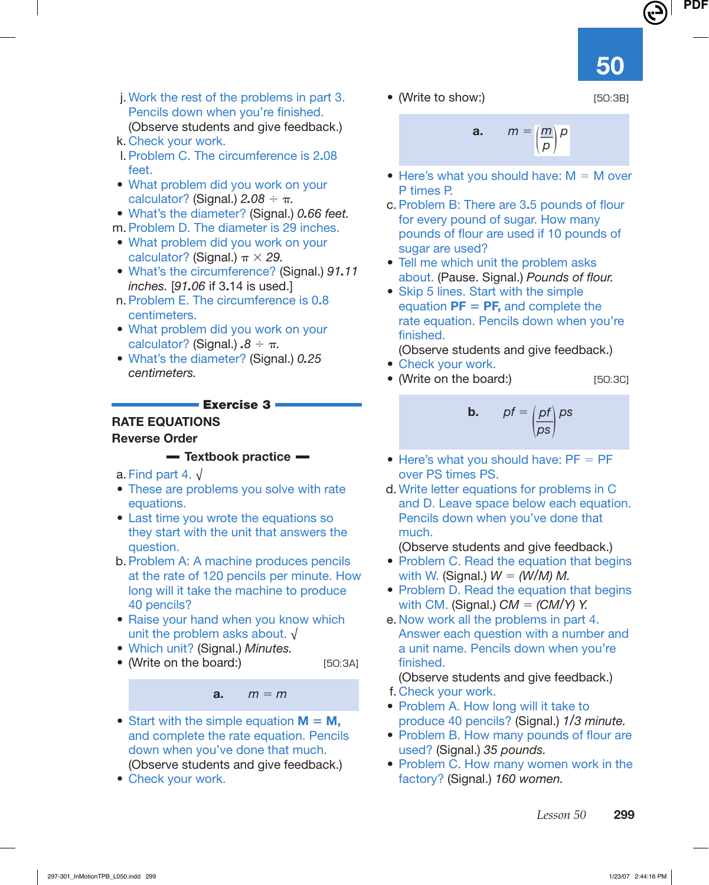• (Write to show:) [50:3B]

 j. Work the rest of the problems in part 3. Pencils down when you're finished. (Observe students and give feedback.)

- k. Check your work.
- l. Problem C. The circumference is 2**.**08 feet.
- What problem did you work on your calculator? (Signal.) 2*.*08 ÷ π.
- What's the diameter? (Signal.) 0*.*66 feet.
- m. Problem D. The diameter is 29 inches.
- What problem did you work on your calculator? (Signal.)  $\pi \times 29$ .
- What's the circumference? (Signal.) 91*.*11 inches. [91*.*06 if 3**.**14 is used.]
- n. Problem E. The circumference is 0**.**8 centimeters.
- What problem did you work on your calculator? (Signal.) *.*8 ÷ π.
- What's the diameter? (Signal.) 0*.*25 centimeters.

#### **Exercise 3**

# **RATE EQUATIONS**

#### **Reverse Order**

#### **Textbook practice**

- a. Find part 4.  $\sqrt{ }$
- These are problems you solve with rate equations.
- Last time you wrote the equations so they start with the unit that answers the question.
- b. Problem A: A machine produces pencils at the rate of 120 pencils per minute. How long will it take the machine to produce 40 pencils?
- Raise your hand when you know which unit the problem asks about. √
- Which unit? (Signal.) Minutes.
- (Write on the board:) [50:3A]

**a.**  $m = m$ 

- Start with the simple equation  $M = M$ , and complete the rate equation. Pencils down when you've done that much. (Observe students and give feedback.)
- Check your work.

$$
m = \left(\frac{m}{\rho}\right)\rho
$$

• Here's what you should have:  $M = M$  over P times P.

**a.** m =

- c. Problem B: There are 3.5 pounds of flour for every pound of sugar. How many pounds of flour are used if 10 pounds of sugar are used?
- Tell me which unit the problem asks about. (Pause. Signal.) Pounds of flour.
- Skip 5 lines. Start with the simple equation  $PF = PF$ , and complete the rate equation. Pencils down when you're finished.

(Observe students and give feedback.)

- Check your work.
- (Write on the board:) [50:3C]

**b.** 
$$
pf = \left(\frac{pf}{ps}\right)ps
$$

- Here's what you should have:  $PF = PF$ over PS times PS.
- d. Write letter equations for problems in C and D. Leave space below each equation. Pencils down when you've done that much.

(Observe students and give feedback.)

- Problem C. Read the equation that begins with W. (Signal.)  $W = (W/M) M$ .
- Problem D. Read the equation that begins with CM. (Signal.)  $CM = (CM/Y)$  Y.
- e. Now work all the problems in part 4. Answer each question with a number and a unit name. Pencils down when you're finished.

(Observe students and give feedback.)

- f. Check your work.
- Problem A. How long will it take to produce 40 pencils? (Signal.) 1/3 minute.
- Problem B. How many pounds of flour are used? (Signal.) 35 pounds.
- Problem C. How many women work in the factory? (Signal.) 160 women.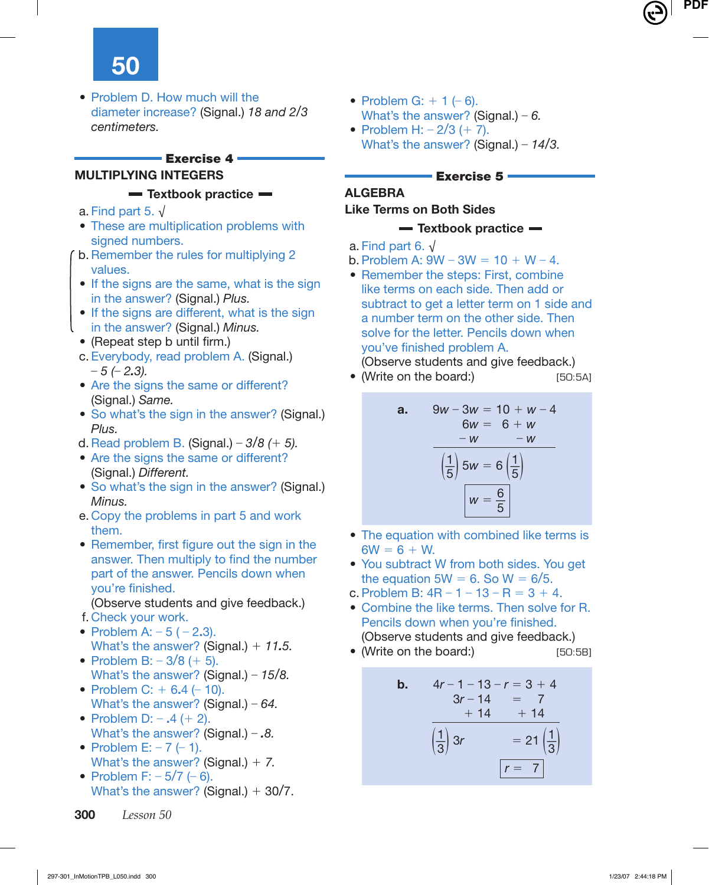• Problem D. How much will the diameter increase? (Signal.) 18 and 2/3 centimeters.

#### **Exercise 4**

# **MULTIPLYING INTEGERS**

#### **Textbook practice**

- a. Find part 5.  $\sqrt{ }$
- These are multiplication problems with signed numbers.
- b. Remember the rules for multiplying 2 values.
- If the signs are the same, what is the sign in the answer? (Signal.) Plus.
- If the signs are different, what is the sign in the answer? (Signal.) Minus.
- (Repeat step b until firm.)
- c. Everybody, read problem A. (Signal.)  $-5$  ( $-2.3$ ).
- Are the signs the same or different? (Signal.) Same.
- So what's the sign in the answer? (Signal.) Plus.
- d. Read problem B. (Signal.)  $3/8$  (+ 5).
- Are the signs the same or different? (Signal.) Different.
- So what's the sign in the answer? (Signal.) Minus.
- e. Copy the problems in part 5 and work them.
- Remember, first figure out the sign in the answer. Then multiply to find the number part of the answer. Pencils down when vou're finished.
	- (Observe students and give feedback.)
- f. Check your work.
- Problem A: 5 ( 2**.**3). What's the answer? (Signal.) + 11*.*5.
- Problem B:  $-3/8$  (+ 5). What's the answer? (Signal.) –  $15/8$ .
- Problem C: + 6**.**4 (– 10). What's the answer? (Signal.) –  $64$ .
- Problem D: **.**4 (+ 2). What's the answer? (Signal.) – *.*8.
- Problem E:  $-7$  ( $-1$ ). What's the answer? (Signal.)  $+ 7$ .
- Problem F:  $-5/7$  ( $-6$ ). What's the answer? (Signal.)  $+30/7$ .
- Problem G:  $+ 1 (-6)$ . What's the answer? (Signal.) – 6.
- Problem H:  $-2/3$  (+ 7). What's the answer? (Signal.) –  $14/3$ .

# **Exercise 5**

# **ALGEBRA**

## **Like Terms on Both Sides**

## **Textbook practice**

- a. Find part 6. √
- b. Problem A:  $9W 3W = 10 + W 4$ .
- Remember the steps: First, combine like terms on each side. Then add or subtract to get a letter term on 1 side and a number term on the other side. Then solve for the letter. Pencils down when you've finished problem A.

(Observe students and give feedback.)

• (Write on the board:) [50:5A]

**a.** 
$$
9w - 3w = 10 + w - 4
$$

$$
6w = 6 + w
$$

$$
-w = -w
$$

$$
\left(\frac{1}{5}\right)5w = 6\left(\frac{1}{5}\right)
$$

$$
w = \frac{6}{5}
$$

- The equation with combined like terms is  $6W = 6 + W$ .
- You subtract W from both sides. You get the equation  $5W = 6$ . So  $W = 6/5$ .
- c. Problem B:  $4R 1 13 R = 3 + 4$ .
- Combine the like terms. Then solve for R. Pencils down when you're finished. (Observe students and give feedback.)
- (Write on the board:) [50:5B]

**b.** 
$$
4r - 1 - 13 - r = 3 + 4
$$
  
\n $3r - 14 = 7$   
\n $+ 14 + 14$   
\n $\frac{1}{3}$ 3r = 21 $\left(\frac{1}{3}\right)$   
\n $r = 7$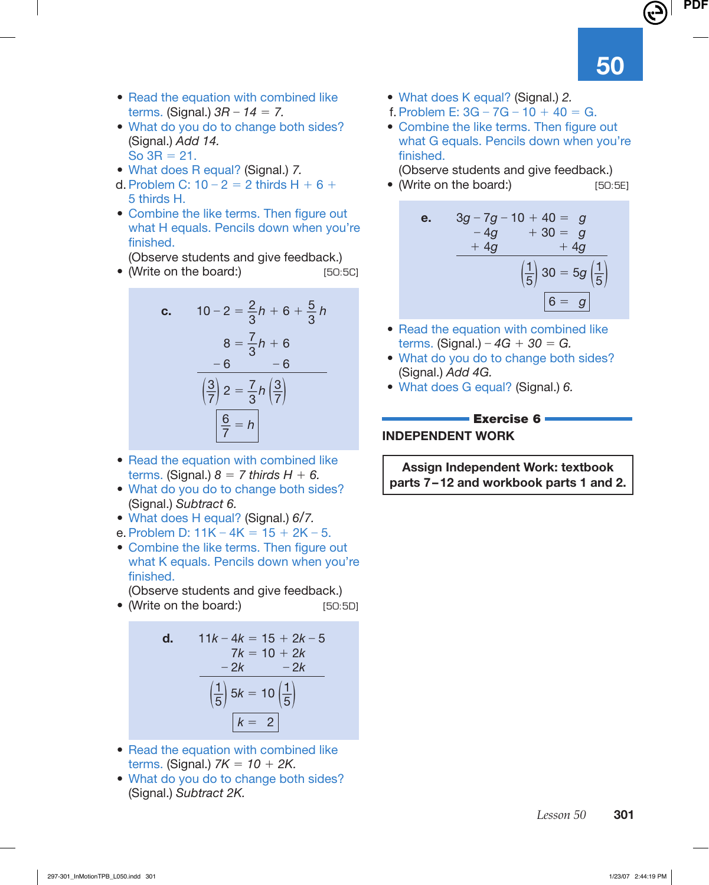- Read the equation with combined like terms. (Signal.)  $3R - 14 = 7$ .
- What do you do to change both sides? (Signal.) Add 14. So  $3R = 21$ .
- What does R equal? (Signal.) 7.
- d. Problem C:  $10 2 = 2$  thirds H + 6 + 5 thirds H.
- Combine the like terms. Then figure out what H equals. Pencils down when you're finished.

(Observe students and give feedback.)

• (Write on the board:) [50:5C]

**c.** 
$$
10-2 = \frac{2}{3}h + 6 + \frac{5}{3}h
$$
  
 $8 = \frac{7}{3}h + 6$   
 $\frac{-6}{\left(\frac{3}{7}\right)2} = \frac{7}{3}h\left(\frac{3}{7}\right)$   
 $\frac{6}{7} = h$ 

- Read the equation with combined like terms. (Signal.)  $8 = 7$  thirds  $H + 6$ .
- What do you do to change both sides? (Signal.) Subtract 6.
- What does H equal? (Signal.) 6/7.
- e. Problem D:  $11K 4K = 15 + 2K 5$ .
- Combine the like terms. Then figure out what K equals. Pencils down when you're finished.

(Observe students and give feedback.)

• (Write on the board:) [50:5D]

**d.** 
$$
11k - 4k = 15 + 2k - 5
$$
  
\n $7k = 10 + 2k$   
\n $-2k - 2k$   
\n $\left(\frac{1}{5}\right) 5k = 10 \left(\frac{1}{5}\right)$   
\n $k = 2$ 

- Read the equation with combined like terms. (Signal.)  $7K = 10 + 2K$ .
- What do you do to change both sides? (Signal.) Subtract 2K.
- What does K equal? (Signal.) 2.
- f. Problem E:  $3G 7G 10 + 40 = G$ .
- Combine the like terms. Then figure out what G equals. Pencils down when you're finished.

(Observe students and give feedback.)

• (Write on the board:) [50:5E]



- Read the equation with combined like terms. (Signal.) –  $4G + 30 = G$ .
- What do you do to change both sides? (Signal.) Add 4G.
- What does G equal? (Signal.) 6.

#### **Exercise 6 INDEPENDENT WORK**

**Assign Independent Work: textbook parts 7 – 12 and workbook parts 1 and 2.**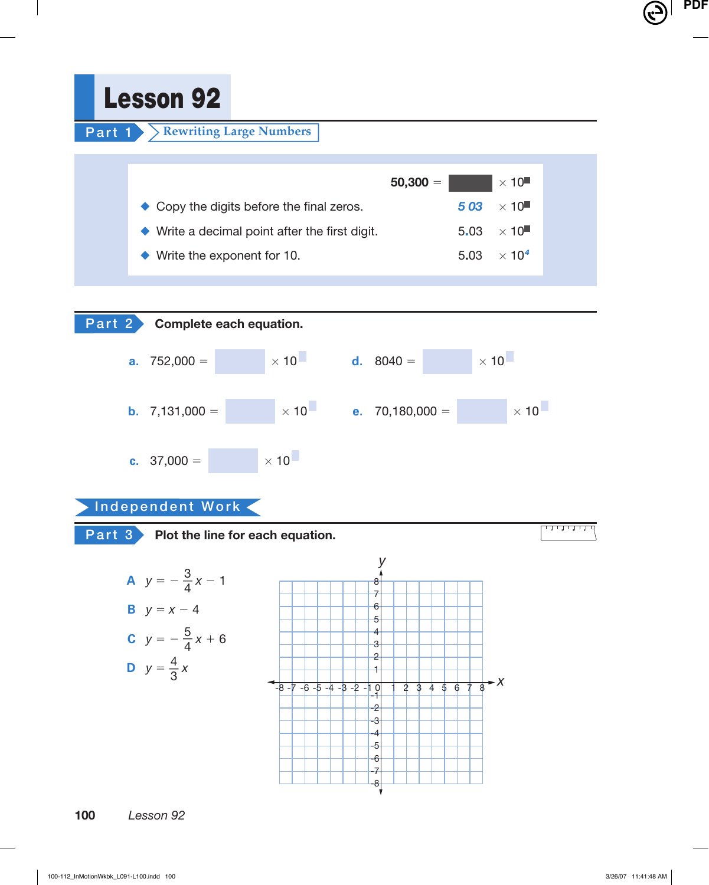**Lesson 92**

**Part 1 Rewriting Large Numbers** 

|                                                              | $50,300 =$ |     | $\times$ 10 $\blacksquare$    |
|--------------------------------------------------------------|------------|-----|-------------------------------|
| $\triangle$ Copy the digits before the final zeros.          |            | 503 | $\sim \times 10$              |
| $\blacklozenge$ Write a decimal point after the first digit. |            |     | $5.03 \times 10$              |
| $\blacklozenge$ Write the exponent for 10.                   |            |     | 5.03 $\times$ 10 <sup>4</sup> |
|                                                              |            |     |                               |



# **Independent Work**

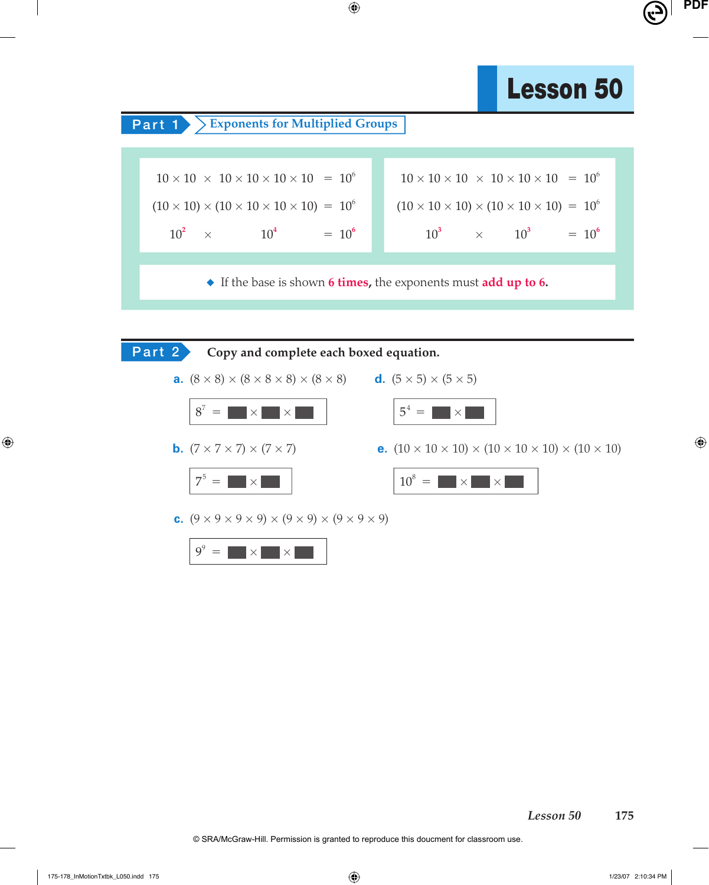# **Lesson 50**



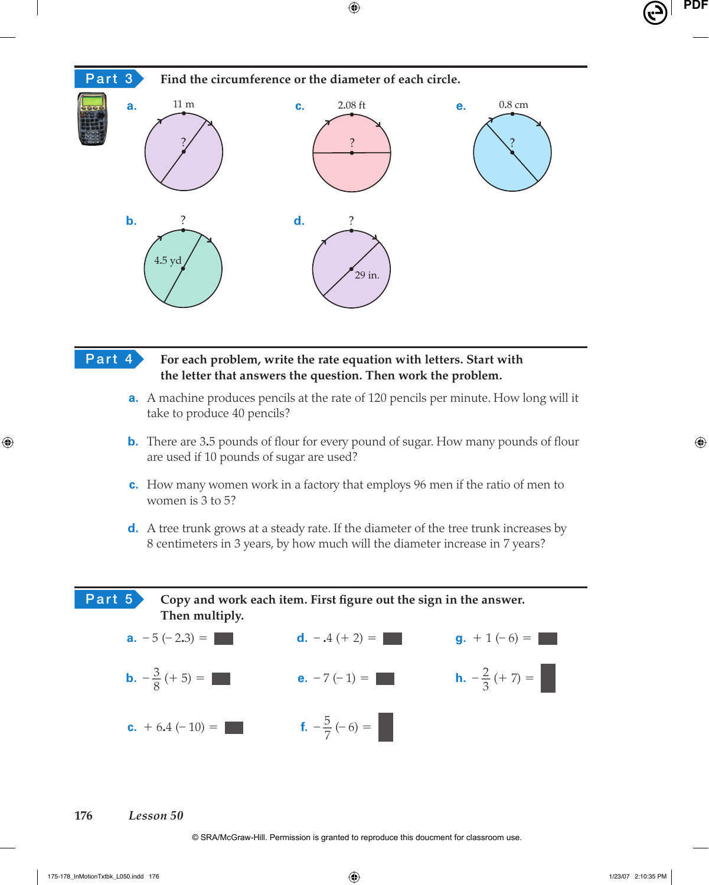

# **Part 4 For each problem, write the rate equation with letters. Start with the letter that answers the question. Then work the problem.**

- **a.** A machine produces pencils at the rate of 120 pencils per minute. How long will it take to produce 40 pencils?
- **b.** There are 3.5 pounds of flour for every pound of sugar. How many pounds of flour are used if 10 pounds of sugar are used?
- **c.** How many women work in a factory that employs 96 men if the ratio of men to women is 3 to 5?
- **d.** A tree trunk grows at a steady rate. If the diameter of the tree trunk increases by 8 centimeters in 3 years, by how much will the diameter increase in 7 years?

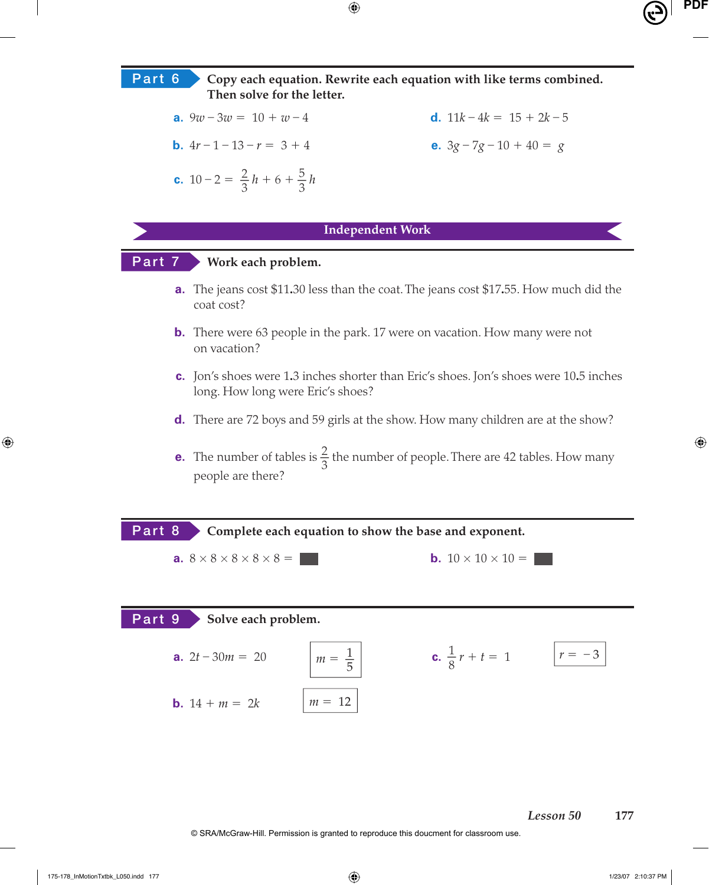**Part 6 Copy each equation. Rewrite each equation with like terms combined. Then solve for the letter.**

**e.**  $3g - 7g - 10 + 40 = g$ 

**a.** 
$$
9w - 3w = 10 + w - 4
$$
   
**d.**  $11k - 4k = 15 + 2k - 5$ 

**b.** 
$$
4r - 1 - 13 - r = 3 + 4
$$

**c.** 
$$
10-2 = \frac{2}{3}h + 6 + \frac{5}{3}h
$$

#### **Independent Work**

# **Part 7 Work each problem.**

- **a.** The jeans cost \$11**.**30 less than the coat. The jeans cost \$17**.**55. How much did the coat cost?
- **b.** There were 63 people in the park. 17 were on vacation. How many were not on vacation?
- **c.** Jon's shoes were 1**.**3 inches shorter than Eric's shoes. Jon's shoes were 10**.**5 inches long. How long were Eric's shoes?
- **d.** There are 72 boys and 59 girls at the show. How many children are at the show?
- **e.** The number of tables is  $\frac{2}{3}$  the number of people. There are 42 tables. How many people are there?

**Part 8 Complete each equation to show the base and exponent. a.**  $8 \times 8 \times 8 \times 8 \times 8 =$  **b.**  $10 \times 10 \times 10 =$ **Part 9 Solve each problem. a.**  $2t - 30m = 20$   $m =$ 5 **c.**  $\frac{1}{8}r + t = 1$   $r = -3$ **b.**  $14 + m = 2k$   $m = 12$